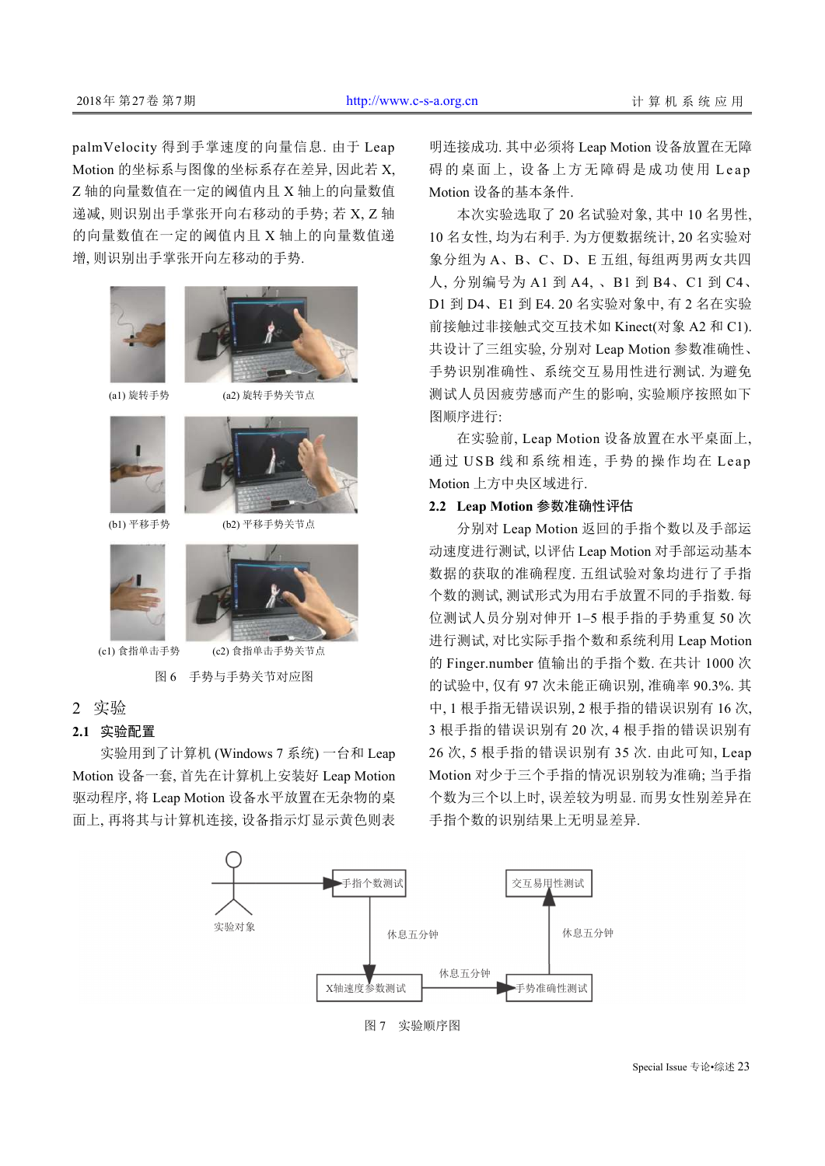palmVelocity 得到手掌速度的向量信息. 由于 Leap Motion 的坐标系与图像的坐标系存在差异, 因此若 X, Z 轴的向量数值在一定的阈值内且 X 轴上的向量数值 递减, 则识别出手掌张开向右移动的手势; 若 X, Z 轴 的向量数值在一定的阈值内且 X 轴上的向量数值递 增, 则识别出手掌张开向左移动的手势.



## **2.1** 实验配置

实验用到了计算机 (Windows 7 系统) 一台和 Leap Motion 设备一套, 首先在计算机上安装好 Leap Motion 驱动程序, 将 Leap Motion 设备水平放置在无杂物的桌 面上, 再将其与计算机连接, 设备指示灯显示黄色则表 明连接成功. 其中必须将 Leap Motion 设备放置在无障 碍的桌面上, 设备上方无障碍是成功使用 Leap Motion 设备的基本条件.

本次实验选取了 20 名试验对象, 其中 10 名男性, 10 名女性, 均为右利手. 为方便数据统计, 20 名实验对 象分组为 A、B、C、D、E 五组, 每组两男两女共四 人, 分别编号为 A1 到 A4, 、B1 到 B4、C1 到 C4、 D1 到 D4、E1 到 E4. 20 名实验对象中, 有 2 名在实验 前接触过非接触式交互技术如 Kinect(对象 A2 和 C1). 共设计了三组实验, 分别对 Leap Motion 参数准确性、 手势识别准确性、系统交互易用性进行测试. 为避免 测试人员因疲劳感而产生的影响, 实验顺序按照如下 图顺序进行:

在实验前, Leap Motion 设备放置在水平桌面上, 通过 USB 线和系统相连, 手势的操作均在 Leap Motion 上方中央区域进行.

### **2.2 Leap Motion** 参数准确性评估

分别对 Leap Motion 返回的手指个数以及手部运 动速度进行测试, 以评估 Leap Motion 对手部运动基本 数据的获取的准确程度. 五组试验对象均进行了手指 个数的测试, 测试形式为用右手放置不同的手指数. 每 位测试人员分别对伸开 1–5 根手指的手势重复 50 次 进行测试, 对比实际手指个数和系统利用 Leap Motion 的 Finger.number 值输出的手指个数. 在共计 1000 次 的试验中, 仅有 97 次未能正确识别, 准确率 90.3%. 其 中, 1 根手指无错误识别, 2 根手指的错误识别有 16 次, 3 根手指的错误识别有 20 次, 4 根手指的错误识别有 26 次, 5 根手指的错误识别有 35 次. 由此可知, Leap Motion 对少于三个手指的情况识别较为准确; 当手指 个数为三个以上时, 误差较为明显. 而男女性别差异在 手指个数的识别结果上无明显差异.



图 7 实验顺序图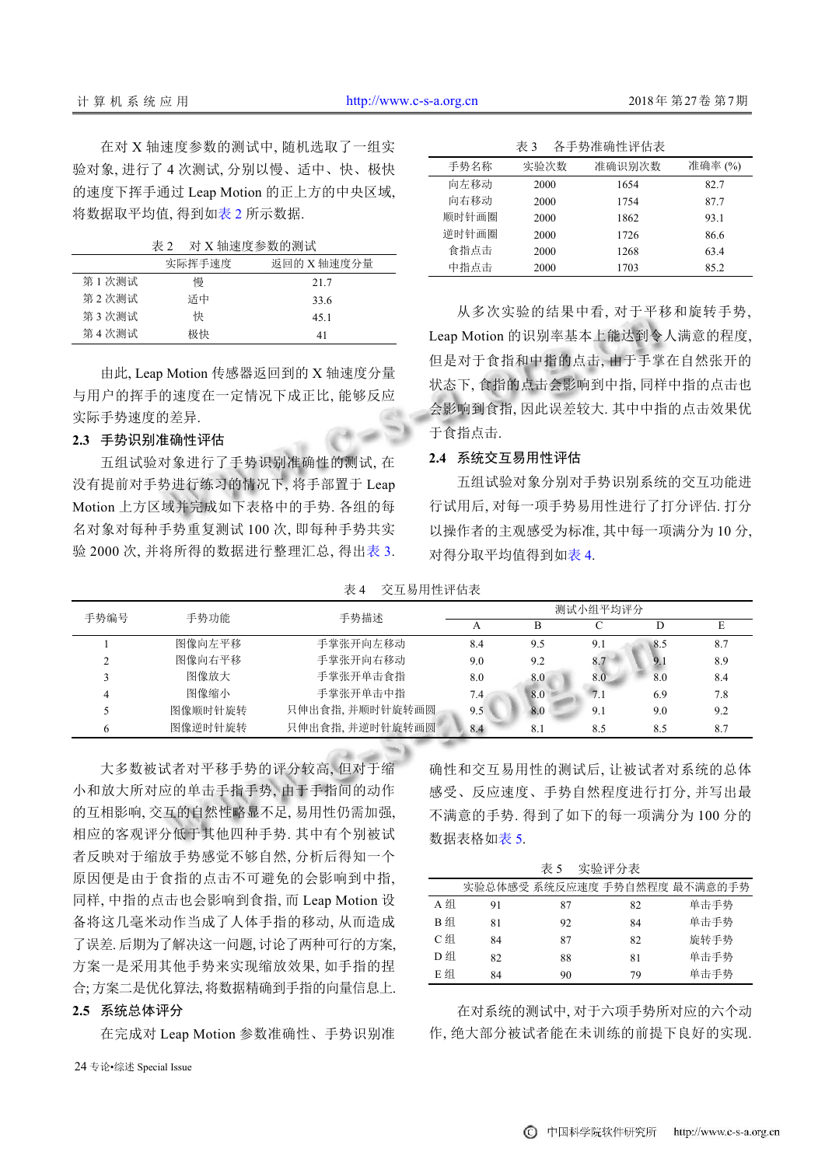在对 X 轴速度参数的测试中, 随机选取了一组实 验对象, 进行了 4 次测试, 分别以慢、适中、快、极快 的速度下挥手通过 Leap Motion 的正上方的中央区域, 将数据取平均值, 得到[如表](#page-5-0) [2](#page-5-0) 所示数据.

<span id="page-5-0"></span>表 2 对 X 轴速度参数的测试

|       | 实际挥手速度 | 返回的 X 轴速度分量 |
|-------|--------|-------------|
| 第1次测试 | 慢      | 21.7        |
| 第2次测试 | 适中     | 33.6        |
| 第3次测试 | 快      | 45.1        |
| 第4次测试 | 极快     | 41          |

由此, Leap Motion 传感器返回到的 X 轴速度分量 与用户的挥手的速度在一定情况下成正比, 能够反应 实际手势速度的差异.

#### **2.3** 手势识别准确性评估

五组试验对象进行了手势识别准确性的测试, 在 没有提前对手势进行练习的情况下, 将手部置于 Leap Motion 上方区域并完成如下表格中的手势. 各组的每 名对象对每种手势重复测试 100 次, 即每种手势共实 验 2000 次, 并将所得的数据进行整理汇总, 得出[表](#page-5-1) [3](#page-5-1).

<span id="page-5-1"></span>

|       | 表 3  | 各手势准确性评估表 |        |
|-------|------|-----------|--------|
| 手势名称  | 实验次数 | 准确识别次数    | 准确率(%) |
| 向左移动  | 2000 | 1654      | 82.7   |
| 向右移动  | 2000 | 1754      | 87.7   |
| 顺时针画圈 | 2000 | 1862      | 93.1   |
| 逆时针画圈 | 2000 | 1726      | 86.6   |
| 食指点击  | 2000 | 1268      | 63.4   |
| 中指点击  | 2000 | 1703      | 85.2   |

从多次实验的结果中看, 对于平移和旋转手势, Leap Motion 的识别率基本上能达到令人满意的程度, 但是对于食指和中指的点击, 由于手掌在自然张开的 状态下, 食指的点击会影响到中指, 同样中指的点击也 会影响到食指, 因此误差较大. 其中中指的点击效果优 于食指点击.

#### **2.4** 系统交互易用性评估

五组试验对象分别对手势识别系统的交互功能进 行试用后, 对每一项手势易用性进行了打分评估. 打分 以操作者的主观感受为[标准](#page-5-2), 其中每一项满分为 10 分, 对得分取平均值得到如[表](#page-5-2) [4](#page-5-2).

<span id="page-5-2"></span>表 4 交互易用性评估表

| 手势编号 | 手势功能    | 手势描述           | 测试小组平均评分 |     |     |     |     |
|------|---------|----------------|----------|-----|-----|-----|-----|
|      |         |                |          |     |     |     |     |
|      | 图像向左平移  | 手掌张开向左移动       | 8.4      | 9.5 | 9.1 | 8.5 | 8.7 |
|      | 图像向右平移  | 手掌张开向右移动       | 9.0      | 9.2 | 8.7 | 9.1 | 8.9 |
|      | 图像放大    | 手掌张开单击食指       | 8.0      | 8.0 | 8.0 | 8.0 | 8.4 |
|      | 图像缩小    | 手掌张开单击中指       | 7.4      | 8.0 | 7.1 | 6.9 | 7.8 |
|      | 图像顺时针旋转 | 只伸出食指,并顺时针旋转画圆 | 9.5      | 8.0 | 9.1 | 9.0 | 9.2 |
|      | 图像逆时针旋转 | 只伸出食指,并逆时针旋转画圆 | 8.4      | 8.1 | 8.5 | 8.5 | 8.7 |

大多数被试者对平移手势的评分较高, 但对于缩 小和放大所对应的单击手指手势, 由于手指间的动作 的互相影响, 交互的自然性略显不足, 易用性仍需加强, 相应的客观评分低于其他四种手势. 其中有个别被试 者反映对于缩放手势感觉不够自然, 分析后得知一个 原因便是由于食指的点击不可避免的会影响到中指, 同样, 中指的点击也会影响到食指, 而 Leap Motion 设 备将这几毫米动作当成了人体手指的移动, 从而造成 了误差. 后期为了解决这一问题, 讨论了两种可行的方案, 方案一是采用其他手[势来实](#page-5-2)现缩放效果, 如手指的捏 合; 方案二是优化算法, 将数据精确到手指的向量信息上.

# **2.5** 系统总体评分

在完成对 Leap Motion 参数准确性、手势识别准

确性和交互易用性的测试后, 让被试者对系统的总体 感受、反应速度、手势自然程度进行打分, 并写出最 不满意的手势. 得到了如下的每一项满分为 100 分的 数据表格如[表](#page-5-3) [5](#page-5-3).

<span id="page-5-3"></span>

| 实验评分表<br>表 5 |     |    |    |                              |
|--------------|-----|----|----|------------------------------|
|              |     |    |    | 实验总体感受 系统反应速度 手势自然程度 最不满意的手势 |
| A组           | 91  | 87 | 82 | 单击手势                         |
| B 组          | 81  | 92 | 84 | 单击手势                         |
| C组           | 84  | 87 | 82 | 旋转手势                         |
| D 组          | 82. | 88 | 81 | 单击手势                         |
| E组           | 84  | 90 | 79 | 单击手势                         |

在对系统的测试中, 对于六项手势所对应的六个动 作, 绝大部分被试者能在未训练的前提下良好的实现.

24 专论•综述 Special Issue